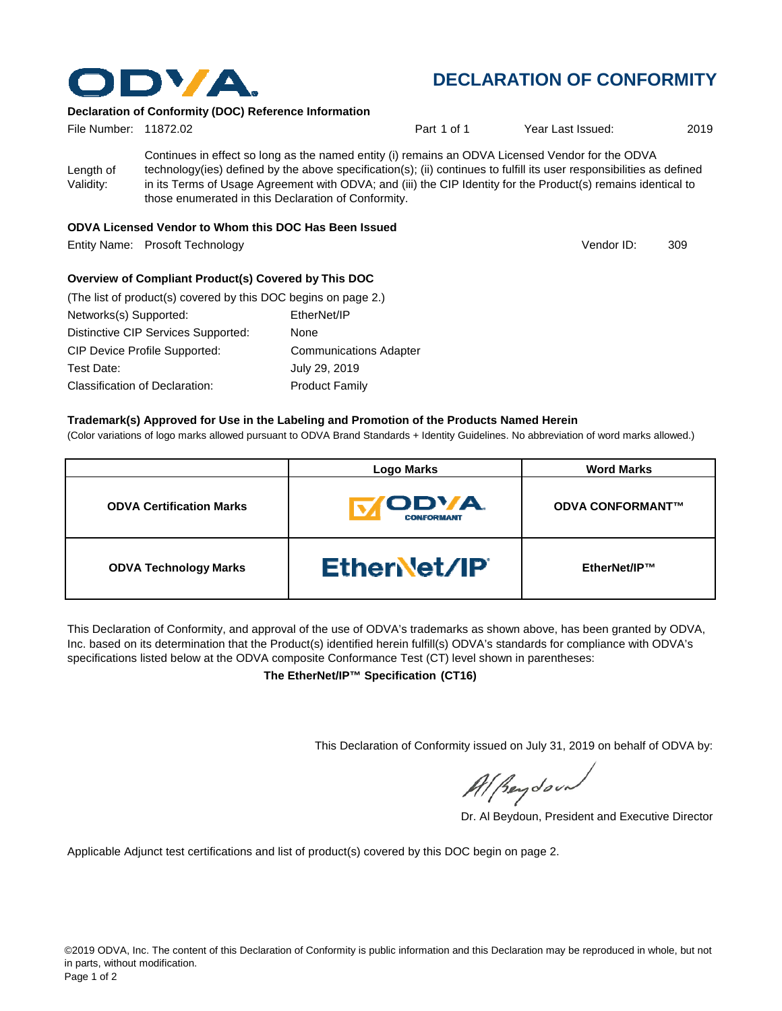

# **DECLARATION OF CONFORMITY**

Vendor ID:

### **Declaration of Conformity (DOC) Reference Information**

| File Number: 11872.02  |                                                                                                                                                                                                                                                                                                                                                                                                   | Part 1 of 1 | Year Last Issued: | 2019 |
|------------------------|---------------------------------------------------------------------------------------------------------------------------------------------------------------------------------------------------------------------------------------------------------------------------------------------------------------------------------------------------------------------------------------------------|-------------|-------------------|------|
| Length of<br>Validity: | Continues in effect so long as the named entity (i) remains an ODVA Licensed Vendor for the ODVA<br>technology(ies) defined by the above specification(s); (ii) continues to fulfill its user responsibilities as defined<br>in its Terms of Usage Agreement with ODVA; and (iii) the CIP Identity for the Product(s) remains identical to<br>those enumerated in this Declaration of Conformity. |             |                   |      |

### **ODVA Licensed Vendor to Whom this DOC Has Been Issued**

Entity Name: Prosoft Technology 309

#### **Overview of Compliant Product(s) Covered by This DOC**

| (The list of product(s) covered by this DOC begins on page 2.) |                               |
|----------------------------------------------------------------|-------------------------------|
| Networks(s) Supported:                                         | EtherNet/IP                   |
| Distinctive CIP Services Supported:                            | None                          |
| <b>CIP Device Profile Supported:</b>                           | <b>Communications Adapter</b> |
| Test Date:                                                     | July 29, 2019                 |
| Classification of Declaration:                                 | <b>Product Family</b>         |

#### **Trademark(s) Approved for Use in the Labeling and Promotion of the Products Named Herein**

(Color variations of logo marks allowed pursuant to ODVA Brand Standards + Identity Guidelines. No abbreviation of word marks allowed.)

|                                 | <b>Logo Marks</b>                | <b>Word Marks</b>       |
|---------------------------------|----------------------------------|-------------------------|
| <b>ODVA Certification Marks</b> | <b>ODVA</b><br><b>CONFORMANT</b> | <b>ODVA CONFORMANT™</b> |
| <b>ODVA Technology Marks</b>    | <b>Ethervet/IP</b>               | EtherNet/IP™            |

This Declaration of Conformity, and approval of the use of ODVA's trademarks as shown above, has been granted by ODVA, Inc. based on its determination that the Product(s) identified herein fulfill(s) ODVA's standards for compliance with ODVA's specifications listed below at the ODVA composite Conformance Test (CT) level shown in parentheses:

**The EtherNet/IP™ Specification (CT16)**

This Declaration of Conformity issued on July 31, 2019 on behalf of ODVA by:

Al peydound

Dr. Al Beydoun, President and Executive Director

Applicable Adjunct test certifications and list of product(s) covered by this DOC begin on page 2.